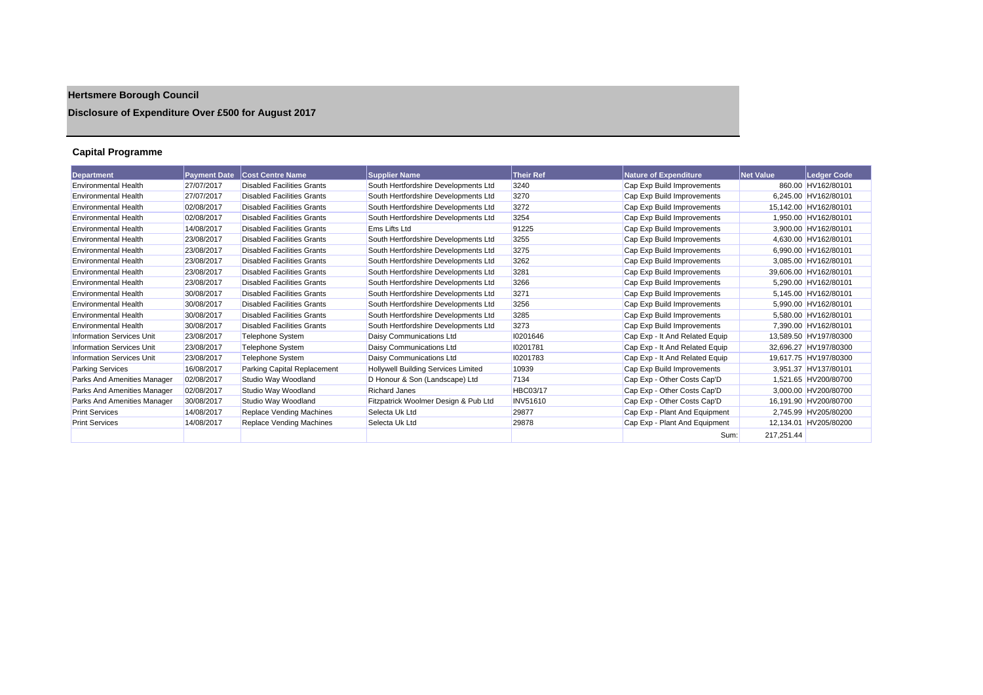# **Hertsmere Borough Council**

## **Disclosure of Expenditure Over £500 for August 2017**

## **Capital Programme**

| <b>Department</b>                | <b>Payment Date</b> | <b>Cost Centre Name</b>           | <b>Supplier Name</b>                 | <b>Their Ref</b> | <b>Nature of Expenditure</b>   | <b>Net Value</b> | Ledger Code           |
|----------------------------------|---------------------|-----------------------------------|--------------------------------------|------------------|--------------------------------|------------------|-----------------------|
| <b>Environmental Health</b>      | 27/07/2017          | <b>Disabled Facilities Grants</b> | South Hertfordshire Developments Ltd | 3240             | Cap Exp Build Improvements     |                  | 860.00 HV162/80101    |
| <b>Environmental Health</b>      | 27/07/2017          | <b>Disabled Facilities Grants</b> | South Hertfordshire Developments Ltd | 3270             | Cap Exp Build Improvements     |                  | 6.245.00 HV162/80101  |
| <b>Environmental Health</b>      | 02/08/2017          | <b>Disabled Facilities Grants</b> | South Hertfordshire Developments Ltd | 3272             | Cap Exp Build Improvements     |                  | 15.142.00 HV162/80101 |
| <b>Environmental Health</b>      | 02/08/2017          | <b>Disabled Facilities Grants</b> | South Hertfordshire Developments Ltd | 3254             | Cap Exp Build Improvements     |                  | 1,950.00 HV162/80101  |
| <b>Environmental Health</b>      | 14/08/2017          | <b>Disabled Facilities Grants</b> | Ems Lifts Ltd                        | 91225            | Cap Exp Build Improvements     |                  | 3,900.00 HV162/80101  |
| <b>Environmental Health</b>      | 23/08/2017          | <b>Disabled Facilities Grants</b> | South Hertfordshire Developments Ltd | 3255             | Cap Exp Build Improvements     |                  | 4.630.00 HV162/80101  |
| <b>Environmental Health</b>      | 23/08/2017          | <b>Disabled Facilities Grants</b> | South Hertfordshire Developments Ltd | 3275             | Cap Exp Build Improvements     |                  | 6.990.00 HV162/80101  |
| <b>Environmental Health</b>      | 23/08/2017          | <b>Disabled Facilities Grants</b> | South Hertfordshire Developments Ltd | 3262             | Cap Exp Build Improvements     |                  | 3.085.00 HV162/80101  |
| <b>Environmental Health</b>      | 23/08/2017          | <b>Disabled Facilities Grants</b> | South Hertfordshire Developments Ltd | 3281             | Cap Exp Build Improvements     |                  | 39,606.00 HV162/80101 |
| <b>Environmental Health</b>      | 23/08/2017          | <b>Disabled Facilities Grants</b> | South Hertfordshire Developments Ltd | 3266             | Cap Exp Build Improvements     |                  | 5.290.00 HV162/80101  |
| <b>Environmental Health</b>      | 30/08/2017          | <b>Disabled Facilities Grants</b> | South Hertfordshire Developments Ltd | 3271             | Cap Exp Build Improvements     |                  | 5.145.00 HV162/80101  |
| <b>Environmental Health</b>      | 30/08/2017          | <b>Disabled Facilities Grants</b> | South Hertfordshire Developments Ltd | 3256             | Cap Exp Build Improvements     |                  | 5.990.00 HV162/80101  |
| <b>Environmental Health</b>      | 30/08/2017          | <b>Disabled Facilities Grants</b> | South Hertfordshire Developments Ltd | 3285             | Cap Exp Build Improvements     |                  | 5.580.00 HV162/80101  |
| <b>Environmental Health</b>      | 30/08/2017          | <b>Disabled Facilities Grants</b> | South Hertfordshire Developments Ltd | 3273             | Cap Exp Build Improvements     |                  | 7,390.00 HV162/80101  |
| <b>Information Services Unit</b> | 23/08/2017          | <b>Telephone System</b>           | Daisy Communications Ltd             | 10201646         | Cap Exp - It And Related Equip |                  | 13.589.50 HV197/80300 |
| <b>Information Services Unit</b> | 23/08/2017          | <b>Telephone System</b>           | Daisy Communications Ltd             | 10201781         | Cap Exp - It And Related Equip |                  | 32.696.27 HV197/80300 |
| <b>Information Services Unit</b> | 23/08/2017          | Telephone System                  | Daisy Communications Ltd             | 10201783         | Cap Exp - It And Related Equip |                  | 19.617.75 HV197/80300 |
| <b>Parking Services</b>          | 16/08/2017          | Parking Capital Replacement       | Hollywell Building Services Limited  | 10939            | Cap Exp Build Improvements     |                  | 3,951.37 HV137/80101  |
| Parks And Amenities Manager      | 02/08/2017          | Studio Way Woodland               | D Honour & Son (Landscape) Ltd       | 7134             | Cap Exp - Other Costs Cap'D    |                  | 1,521.65 HV200/80700  |
| Parks And Amenities Manager      | 02/08/2017          | Studio Way Woodland               | <b>Richard Janes</b>                 | <b>HBC03/17</b>  | Cap Exp - Other Costs Cap'D    |                  | 3.000.00 HV200/80700  |
| Parks And Amenities Manager      | 30/08/2017          | Studio Way Woodland               | Fitzpatrick Woolmer Design & Pub Ltd | <b>INV51610</b>  | Cap Exp - Other Costs Cap'D    |                  | 16.191.90 HV200/80700 |
| <b>Print Services</b>            | 14/08/2017          | Replace Vending Machines          | Selecta Uk Ltd                       | 29877            | Cap Exp - Plant And Equipment  |                  | 2,745.99 HV205/80200  |
| <b>Print Services</b>            | 14/08/2017          | Replace Vending Machines          | Selecta Uk Ltd                       | 29878            | Cap Exp - Plant And Equipment  |                  | 12,134.01 HV205/80200 |
|                                  |                     |                                   |                                      |                  | Sum:                           | 217,251.44       |                       |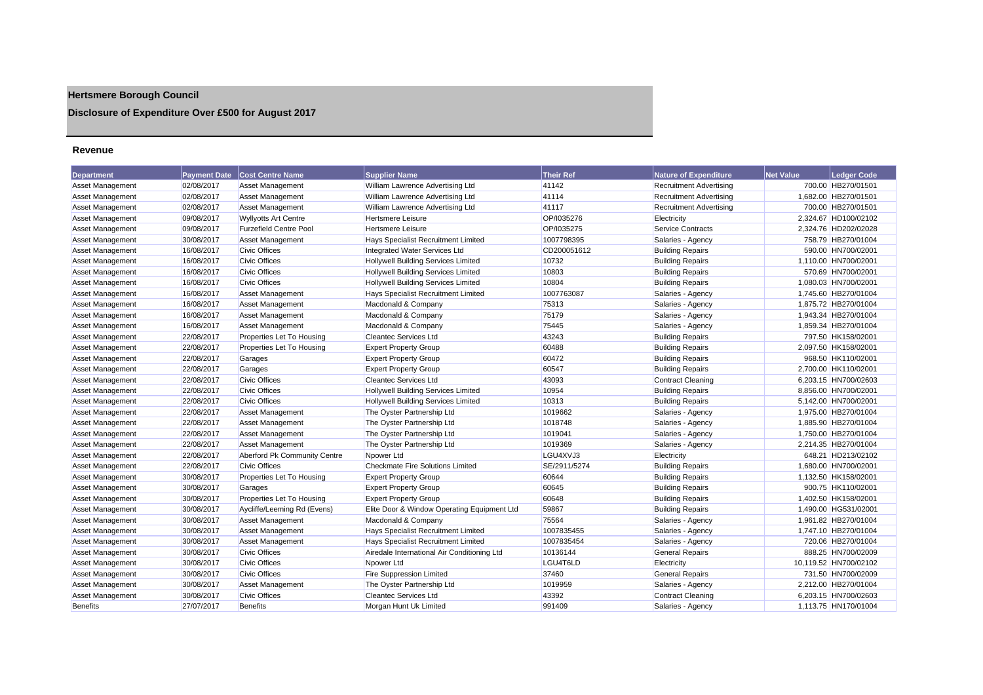## **Hertsmere Borough Council**

## **Disclosure of Expenditure Over £500 for August 2017**

#### **Revenue**

| <b>Department</b>       | <b>Payment Date</b> | <b>Cost Centre Name</b>       | <b>Supplier Name</b>                        | <b>Their Ref</b> | <b>Nature of Expenditure</b>   | <b>Net Value</b> | Ledger Code           |
|-------------------------|---------------------|-------------------------------|---------------------------------------------|------------------|--------------------------------|------------------|-----------------------|
| <b>Asset Management</b> | 02/08/2017          | <b>Asset Management</b>       | William Lawrence Advertising Ltd            | 41142            | <b>Recruitment Advertising</b> |                  | 700.00 HB270/01501    |
| <b>Asset Management</b> | 02/08/2017          | <b>Asset Management</b>       | William Lawrence Advertising Ltd            | 41114            | <b>Recruitment Advertising</b> |                  | 1,682.00 HB270/01501  |
| <b>Asset Management</b> | 02/08/2017          | Asset Management              | William Lawrence Advertising Ltd            | 41117            | <b>Recruitment Advertising</b> |                  | 700.00 HB270/01501    |
| Asset Management        | 09/08/2017          | <b>Wyllyotts Art Centre</b>   | Hertsmere Leisure                           | OP/1035276       | Electricity                    |                  | 2,324.67 HD100/02102  |
| <b>Asset Management</b> | 09/08/2017          | <b>Furzefield Centre Pool</b> | <b>Hertsmere Leisure</b>                    | OP/1035275       | <b>Service Contracts</b>       |                  | 2.324.76 HD202/02028  |
| <b>Asset Management</b> | 30/08/2017          | <b>Asset Management</b>       | <b>Hays Specialist Recruitment Limited</b>  | 1007798395       | Salaries - Agency              |                  | 758.79 HB270/01004    |
| <b>Asset Management</b> | 16/08/2017          | <b>Civic Offices</b>          | Integrated Water Services Ltd               | CD200051612      | <b>Building Repairs</b>        |                  | 590.00 HN700/02001    |
| <b>Asset Management</b> | 16/08/2017          | <b>Civic Offices</b>          | Hollywell Building Services Limited         | 10732            | <b>Building Repairs</b>        |                  | 1,110.00 HN700/02001  |
| <b>Asset Management</b> | 16/08/2017          | <b>Civic Offices</b>          | <b>Hollywell Building Services Limited</b>  | 10803            | <b>Building Repairs</b>        |                  | 570.69 HN700/02001    |
| <b>Asset Management</b> | 16/08/2017          | <b>Civic Offices</b>          | Hollywell Building Services Limited         | 10804            | <b>Building Repairs</b>        |                  | 1,080.03 HN700/02001  |
| <b>Asset Management</b> | 16/08/2017          | <b>Asset Management</b>       | Hays Specialist Recruitment Limited         | 1007763087       | Salaries - Agency              |                  | 1,745.60 HB270/01004  |
| Asset Management        | 16/08/2017          | <b>Asset Management</b>       | Macdonald & Company                         | 75313            | Salaries - Agency              |                  | 1,875.72 HB270/01004  |
| <b>Asset Management</b> | 16/08/2017          | <b>Asset Management</b>       | Macdonald & Company                         | 75179            | Salaries - Agency              |                  | 1,943.34 HB270/01004  |
| <b>Asset Management</b> | 16/08/2017          | <b>Asset Management</b>       | Macdonald & Company                         | 75445            | Salaries - Agency              |                  | 1,859.34 HB270/01004  |
| <b>Asset Management</b> | 22/08/2017          | Properties Let To Housing     | <b>Cleantec Services Ltd</b>                | 43243            | <b>Building Repairs</b>        |                  | 797.50 HK158/02001    |
| Asset Management        | 22/08/2017          | Properties Let To Housing     | <b>Expert Property Group</b>                | 60488            | <b>Building Repairs</b>        |                  | 2.097.50 HK158/02001  |
| <b>Asset Management</b> | 22/08/2017          | Garages                       | <b>Expert Property Group</b>                | 60472            | <b>Building Repairs</b>        |                  | 968.50 HK110/02001    |
| <b>Asset Management</b> | 22/08/2017          | Garages                       | <b>Expert Property Group</b>                | 60547            | <b>Building Repairs</b>        |                  | 2,700.00 HK110/02001  |
| <b>Asset Management</b> | 22/08/2017          | <b>Civic Offices</b>          | <b>Cleantec Services Ltd</b>                | 43093            | <b>Contract Cleaning</b>       |                  | 6,203.15 HN700/02603  |
| <b>Asset Management</b> | 22/08/2017          | <b>Civic Offices</b>          | <b>Hollywell Building Services Limited</b>  | 10954            | <b>Building Repairs</b>        |                  | 8,856.00 HN700/02001  |
| <b>Asset Management</b> | 22/08/2017          | <b>Civic Offices</b>          | <b>Hollywell Building Services Limited</b>  | 10313            | <b>Building Repairs</b>        |                  | 5,142.00 HN700/02001  |
| <b>Asset Management</b> | 22/08/2017          | <b>Asset Management</b>       | The Oyster Partnership Ltd                  | 1019662          | Salaries - Agency              |                  | 1,975.00 HB270/01004  |
| <b>Asset Management</b> | 22/08/2017          | <b>Asset Management</b>       | The Oyster Partnership Ltd                  | 1018748          | Salaries - Agency              |                  | 1,885.90 HB270/01004  |
| <b>Asset Management</b> | 22/08/2017          | <b>Asset Management</b>       | The Oyster Partnership Ltd                  | 1019041          | Salaries - Agency              |                  | 1,750.00 HB270/01004  |
| <b>Asset Management</b> | 22/08/2017          | <b>Asset Management</b>       | The Oyster Partnership Ltd                  | 1019369          | Salaries - Agency              |                  | 2,214.35 HB270/01004  |
| Asset Management        | 22/08/2017          | Aberford Pk Community Centre  | Npower Ltd                                  | LGU4XVJ3         | Electricity                    |                  | 648.21 HD213/02102    |
| <b>Asset Management</b> | 22/08/2017          | <b>Civic Offices</b>          | <b>Checkmate Fire Solutions Limited</b>     | SE/2911/5274     | <b>Building Repairs</b>        |                  | 1,680.00 HN700/02001  |
| <b>Asset Management</b> | 30/08/2017          | Properties Let To Housing     | <b>Expert Property Group</b>                | 60644            | <b>Building Repairs</b>        |                  | 1,132.50 HK158/02001  |
| <b>Asset Management</b> | 30/08/2017          | Garages                       | <b>Expert Property Group</b>                | 60645            | <b>Building Repairs</b>        |                  | 900.75 HK110/02001    |
| <b>Asset Management</b> | 30/08/2017          | Properties Let To Housing     | <b>Expert Property Group</b>                | 60648            | <b>Building Repairs</b>        |                  | 1,402.50 HK158/02001  |
| Asset Management        | 30/08/2017          | Aycliffe/Leeming Rd (Evens)   | Elite Door & Window Operating Equipment Ltd | 59867            | <b>Building Repairs</b>        |                  | 1,490.00 HG531/02001  |
| <b>Asset Management</b> | 30/08/2017          | <b>Asset Management</b>       | Macdonald & Company                         | 75564            | Salaries - Agency              |                  | 1,961.82 HB270/01004  |
| <b>Asset Management</b> | 30/08/2017          | <b>Asset Management</b>       | Hays Specialist Recruitment Limited         | 1007835455       | Salaries - Agency              |                  | 1,747.10 HB270/01004  |
| <b>Asset Management</b> | 30/08/2017          | <b>Asset Management</b>       | Hays Specialist Recruitment Limited         | 1007835454       | Salaries - Agency              |                  | 720.06 HB270/01004    |
| <b>Asset Management</b> | 30/08/2017          | <b>Civic Offices</b>          | Airedale International Air Conditioning Ltd | 10136144         | <b>General Repairs</b>         |                  | 888.25 HN700/02009    |
| <b>Asset Management</b> | 30/08/2017          | <b>Civic Offices</b>          | Npower Ltd                                  | LGU4T6LD         | Electricity                    |                  | 10,119.52 HN700/02102 |
| <b>Asset Management</b> | 30/08/2017          | <b>Civic Offices</b>          | Fire Suppression Limited                    | 37460            | <b>General Repairs</b>         |                  | 731.50 HN700/02009    |
| <b>Asset Management</b> | 30/08/2017          | <b>Asset Management</b>       | The Oyster Partnership Ltd                  | 1019959          | Salaries - Agency              |                  | 2,212.00 HB270/01004  |
| Asset Management        | 30/08/2017          | <b>Civic Offices</b>          | <b>Cleantec Services Ltd</b>                | 43392            | <b>Contract Cleaning</b>       |                  | 6.203.15 HN700/02603  |
| <b>Benefits</b>         | 27/07/2017          | <b>Benefits</b>               | Morgan Hunt Uk Limited                      | 991409           | Salaries - Agency              |                  | 1.113.75 HN170/01004  |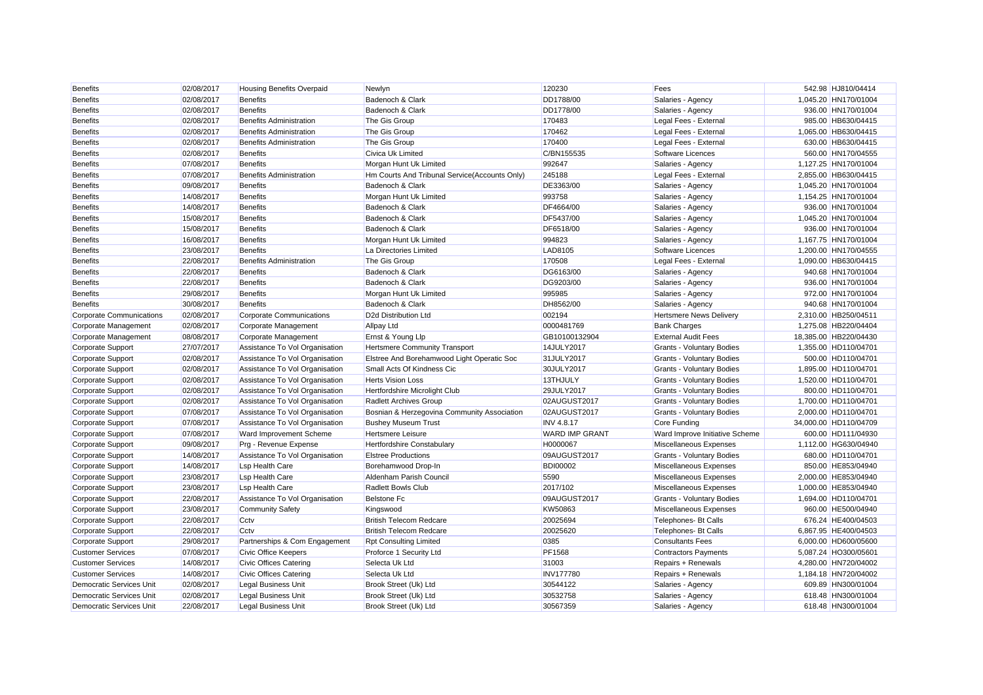| <b>Benefits</b>                 | 02/08/2017 | Housing Benefits Overpaid       | Newlyn                                        | 120230                | Fees                             | 542.98 HJ810/04414    |
|---------------------------------|------------|---------------------------------|-----------------------------------------------|-----------------------|----------------------------------|-----------------------|
| <b>Benefits</b>                 | 02/08/2017 | <b>Benefits</b>                 | Badenoch & Clark                              | DD1788/00             | Salaries - Agency                | 1,045.20 HN170/01004  |
| <b>Benefits</b>                 | 02/08/2017 | <b>Benefits</b>                 | Badenoch & Clark                              | DD1778/00             | Salaries - Agency                | 936.00 HN170/01004    |
| <b>Benefits</b>                 | 02/08/2017 | <b>Benefits Administration</b>  | The Gis Group                                 | 170483                | Legal Fees - External            | 985.00 HB630/04415    |
| <b>Benefits</b>                 | 02/08/2017 | <b>Benefits Administration</b>  | The Gis Group                                 | 170462                | Legal Fees - External            | 1,065.00 HB630/04415  |
| <b>Benefits</b>                 | 02/08/2017 | <b>Benefits Administration</b>  | The Gis Group                                 | 170400                | Legal Fees - External            | 630.00 HB630/04415    |
| <b>Benefits</b>                 | 02/08/2017 | <b>Benefits</b>                 | Civica Uk Limited                             | C/BN155535            | Software Licences                | 560.00 HN170/04555    |
| <b>Benefits</b>                 | 07/08/2017 | <b>Benefits</b>                 | Morgan Hunt Uk Limited                        | 992647                | Salaries - Agency                | 1,127.25 HN170/01004  |
| <b>Benefits</b>                 | 07/08/2017 | <b>Benefits Administration</b>  | Hm Courts And Tribunal Service(Accounts Only) | 245188                | Legal Fees - External            | 2,855.00 HB630/04415  |
| <b>Benefits</b>                 | 09/08/2017 | <b>Benefits</b>                 | Badenoch & Clark                              | DE3363/00             | Salaries - Agency                | 1,045.20 HN170/01004  |
| <b>Benefits</b>                 | 14/08/2017 | <b>Benefits</b>                 | Morgan Hunt Uk Limited                        | 993758                | Salaries - Agency                | 1,154.25 HN170/01004  |
| <b>Benefits</b>                 | 14/08/2017 | <b>Benefits</b>                 | Badenoch & Clark                              | DF4664/00             | Salaries - Agency                | 936.00 HN170/01004    |
| <b>Benefits</b>                 | 15/08/2017 | <b>Benefits</b>                 | Badenoch & Clark                              | DF5437/00             | Salaries - Agency                | 1,045.20 HN170/01004  |
| <b>Benefits</b>                 | 15/08/2017 | <b>Benefits</b>                 | Badenoch & Clark                              | DF6518/00             | Salaries - Agency                | 936.00 HN170/01004    |
| <b>Benefits</b>                 | 16/08/2017 | <b>Benefits</b>                 | Morgan Hunt Uk Limited                        | 994823                | Salaries - Agency                | 1,167.75 HN170/01004  |
| <b>Benefits</b>                 | 23/08/2017 | <b>Benefits</b>                 | La Directories Limited                        | LAD8105               | Software Licences                | 1.200.00 HN170/04555  |
| <b>Benefits</b>                 | 22/08/2017 | <b>Benefits Administration</b>  | The Gis Group                                 | 170508                | Legal Fees - External            | 1,090.00 HB630/04415  |
| <b>Benefits</b>                 | 22/08/2017 | <b>Benefits</b>                 | Badenoch & Clark                              | DG6163/00             | Salaries - Agency                | 940.68 HN170/01004    |
| <b>Benefits</b>                 | 22/08/2017 | <b>Benefits</b>                 | Badenoch & Clark                              | DG9203/00             | Salaries - Agency                | 936.00 HN170/01004    |
| <b>Benefits</b>                 | 29/08/2017 | <b>Benefits</b>                 | Morgan Hunt Uk Limited                        | 995985                | Salaries - Agency                | 972.00 HN170/01004    |
| <b>Benefits</b>                 | 30/08/2017 | <b>Benefits</b>                 | Badenoch & Clark                              | DH8562/00             | Salaries - Agency                | 940.68 HN170/01004    |
| Corporate Communications        | 02/08/2017 | <b>Corporate Communications</b> | D2d Distribution Ltd                          | 002194                | <b>Hertsmere News Delivery</b>   | 2,310.00 HB250/04511  |
| Corporate Management            | 02/08/2017 | Corporate Management            | <b>Allpay Ltd</b>                             | 0000481769            | <b>Bank Charges</b>              | 1,275.08 HB220/04404  |
| Corporate Management            | 08/08/2017 | Corporate Management            | Ernst & Young Llp                             | GB10100132904         | <b>External Audit Fees</b>       | 18,385.00 HB220/04430 |
| Corporate Support               | 27/07/2017 | Assistance To Vol Organisation  | <b>Hertsmere Community Transport</b>          | 14JULY2017            | Grants - Voluntary Bodies        | 1,355.00 HD110/04701  |
| <b>Corporate Support</b>        | 02/08/2017 | Assistance To Vol Organisation  | Elstree And Borehamwood Light Operatic Soc    | 31JULY2017            | <b>Grants - Voluntary Bodies</b> | 500.00 HD110/04701    |
| Corporate Support               | 02/08/2017 | Assistance To Vol Organisation  | Small Acts Of Kindness Cic                    | 30JULY2017            | <b>Grants - Voluntary Bodies</b> | 1,895.00 HD110/04701  |
| <b>Corporate Support</b>        | 02/08/2017 | Assistance To Vol Organisation  | <b>Herts Vision Loss</b>                      | 13THJULY              | <b>Grants - Voluntary Bodies</b> | 1.520.00 HD110/04701  |
| <b>Corporate Support</b>        | 02/08/2017 | Assistance To Vol Organisation  | Hertfordshire Microlight Club                 | 29JULY2017            | <b>Grants - Voluntary Bodies</b> | 800.00 HD110/04701    |
| <b>Corporate Support</b>        | 02/08/2017 | Assistance To Vol Organisation  | <b>Radlett Archives Group</b>                 | 02AUGUST2017          | <b>Grants - Voluntary Bodies</b> | 1,700.00 HD110/04701  |
| Corporate Support               | 07/08/2017 | Assistance To Vol Organisation  | Bosnian & Herzegovina Community Association   | 02AUGUST2017          | <b>Grants - Voluntary Bodies</b> | 2,000.00 HD110/04701  |
| Corporate Support               | 07/08/2017 | Assistance To Vol Organisation  | <b>Bushey Museum Trust</b>                    | <b>INV 4.8.17</b>     | Core Funding                     | 34,000.00 HD110/04709 |
| <b>Corporate Support</b>        | 07/08/2017 | Ward Improvement Scheme         | <b>Hertsmere Leisure</b>                      | <b>WARD IMP GRANT</b> | Ward Improve Initiative Scheme   | 600.00 HD111/04930    |
| Corporate Support               | 09/08/2017 | Prg - Revenue Expense           | <b>Hertfordshire Constabulary</b>             | H0000067              | Miscellaneous Expenses           | 1,112.00 HG630/04940  |
| Corporate Support               | 14/08/2017 | Assistance To Vol Organisation  | <b>Elstree Productions</b>                    | 09AUGUST2017          | <b>Grants - Voluntary Bodies</b> | 680.00 HD110/04701    |
| <b>Corporate Support</b>        | 14/08/2017 | <b>Lsp Health Care</b>          | Borehamwood Drop-In                           | <b>BDI00002</b>       | Miscellaneous Expenses           | 850.00 HE853/04940    |
| <b>Corporate Support</b>        | 23/08/2017 | <b>Lsp Health Care</b>          | Aldenham Parish Council                       | 5590                  | Miscellaneous Expenses           | 2,000.00 HE853/04940  |
| Corporate Support               | 23/08/2017 | <b>Lsp Health Care</b>          | <b>Radlett Bowls Club</b>                     | 2017/102              | Miscellaneous Expenses           | 1,000.00 HE853/04940  |
| Corporate Support               | 22/08/2017 | Assistance To Vol Organisation  | <b>Belstone Fc</b>                            | 09AUGUST2017          | <b>Grants - Voluntary Bodies</b> | 1,694.00 HD110/04701  |
| <b>Corporate Support</b>        | 23/08/2017 | <b>Community Safety</b>         | Kingswood                                     | KW50863               | Miscellaneous Expenses           | 960.00 HE500/04940    |
| Corporate Support               | 22/08/2017 | Cctv                            | <b>British Telecom Redcare</b>                | 20025694              | Telephones- Bt Calls             | 676.24 HE400/04503    |
| Corporate Support               | 22/08/2017 | Cctv                            | <b>British Telecom Redcare</b>                | 20025620              | Telephones- Bt Calls             | 6,867.95 HE400/04503  |
| <b>Corporate Support</b>        | 29/08/2017 | Partnerships & Com Engagement   | <b>Rpt Consulting Limited</b>                 | 0385                  | <b>Consultants Fees</b>          | 6,000.00 HD600/05600  |
| <b>Customer Services</b>        | 07/08/2017 | Civic Office Keepers            | Proforce 1 Security Ltd                       | PF1568                | <b>Contractors Payments</b>      | 5,087.24 HO300/05601  |
| <b>Customer Services</b>        | 14/08/2017 | Civic Offices Catering          | Selecta Uk Ltd                                | 31003                 | Repairs + Renewals               | 4,280.00 HN720/04002  |
| <b>Customer Services</b>        | 14/08/2017 | <b>Civic Offices Catering</b>   | Selecta Uk Ltd                                | <b>INV177780</b>      | Repairs + Renewals               | 1,184.18 HN720/04002  |
| Democratic Services Unit        | 02/08/2017 | <b>Legal Business Unit</b>      | Brook Street (Uk) Ltd                         | 30544122              | Salaries - Agency                | 609.89 HN300/01004    |
| <b>Democratic Services Unit</b> | 02/08/2017 | <b>Legal Business Unit</b>      | Brook Street (Uk) Ltd                         | 30532758              | Salaries - Agency                | 618.48 HN300/01004    |
| <b>Democratic Services Unit</b> | 22/08/2017 | <b>Legal Business Unit</b>      | Brook Street (Uk) Ltd                         | 30567359              | Salaries - Agency                | 618.48 HN300/01004    |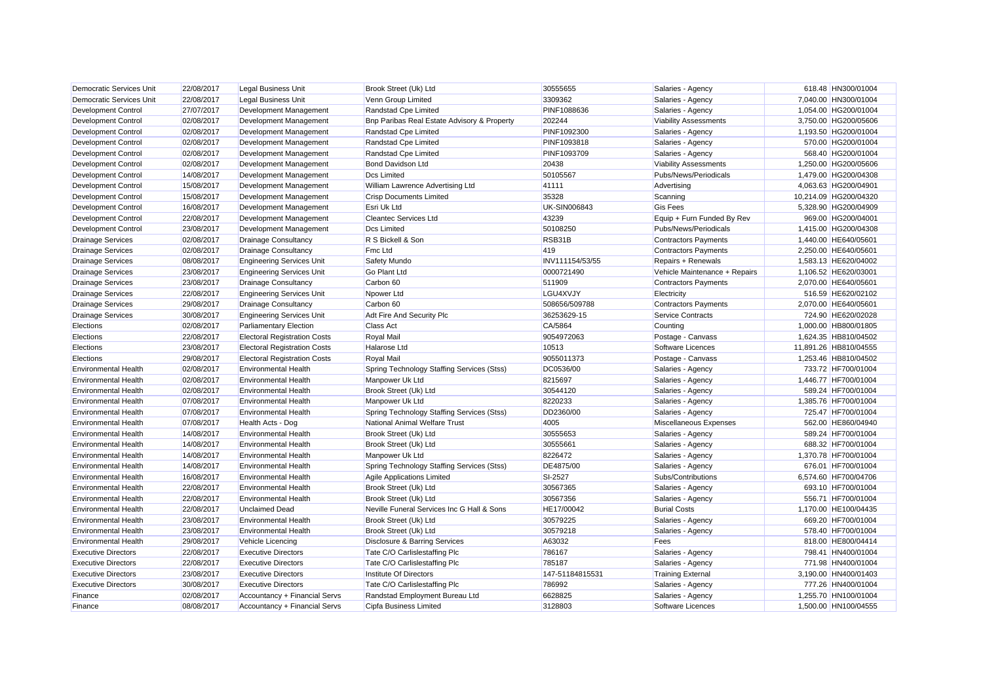| Democratic Services Unit    | 22/08/2017 | <b>Legal Business Unit</b>          | Brook Street (Uk) Ltd                       | 30555655            | Salaries - Agency             | 618.48 HN300/01004    |
|-----------------------------|------------|-------------------------------------|---------------------------------------------|---------------------|-------------------------------|-----------------------|
| Democratic Services Unit    | 22/08/2017 | <b>Legal Business Unit</b>          | Venn Group Limited                          | 3309362             | Salaries - Agency             | 7,040.00 HN300/01004  |
| <b>Development Control</b>  | 27/07/2017 | Development Management              | Randstad Cpe Limited                        | PINF1088636         | Salaries - Agency             | 1,054.00 HG200/01004  |
| <b>Development Control</b>  | 02/08/2017 | Development Management              | Bnp Paribas Real Estate Advisory & Property | 202244              | <b>Viability Assessments</b>  | 3,750.00 HG200/05606  |
| <b>Development Control</b>  | 02/08/2017 | Development Management              | Randstad Cpe Limited                        | PINF1092300         | Salaries - Agency             | 1,193.50 HG200/01004  |
| <b>Development Control</b>  | 02/08/2017 | Development Management              | Randstad Cpe Limited                        | PINF1093818         | Salaries - Agency             | 570.00 HG200/01004    |
| <b>Development Control</b>  | 02/08/2017 | Development Management              | Randstad Cpe Limited                        | PINF1093709         | Salaries - Agency             | 568.40 HG200/01004    |
| Development Control         | 02/08/2017 | Development Management              | Bond Davidson Ltd                           | 20438               | <b>Viability Assessments</b>  | 1,250.00 HG200/05606  |
| <b>Development Control</b>  | 14/08/2017 | Development Management              | <b>Dcs Limited</b>                          | 50105567            | Pubs/News/Periodicals         | 1,479.00 HG200/04308  |
| Development Control         | 15/08/2017 | Development Management              | William Lawrence Advertising Ltd            | 41111               | Advertising                   | 4,063.63 HG200/04901  |
| <b>Development Control</b>  | 15/08/2017 | Development Management              | <b>Crisp Documents Limited</b>              | 35328               | Scanning                      | 10,214.09 HG200/04320 |
| <b>Development Control</b>  | 16/08/2017 | Development Management              | Esri Uk Ltd                                 | <b>UK-SIN006843</b> | <b>Gis Fees</b>               | 5,328.90 HG200/04909  |
| <b>Development Control</b>  | 22/08/2017 | Development Management              | <b>Cleantec Services Ltd</b>                | 43239               | Equip + Furn Funded By Rev    | 969.00 HG200/04001    |
| <b>Development Control</b>  | 23/08/2017 | Development Management              | <b>Dcs Limited</b>                          | 50108250            | Pubs/News/Periodicals         | 1,415.00 HG200/04308  |
| <b>Drainage Services</b>    | 02/08/2017 | <b>Drainage Consultancy</b>         | R S Bickell & Son                           | RSB31B              | <b>Contractors Payments</b>   | 1,440.00 HE640/05601  |
| <b>Drainage Services</b>    | 02/08/2017 | <b>Drainage Consultancy</b>         | Fmc Ltd                                     | 419                 | <b>Contractors Payments</b>   | 2,250.00 HE640/05601  |
| <b>Drainage Services</b>    | 08/08/2017 | <b>Engineering Services Unit</b>    | Safety Mundo                                | INV111154/53/55     | Repairs + Renewals            | 1,583.13 HE620/04002  |
| <b>Drainage Services</b>    | 23/08/2017 | <b>Engineering Services Unit</b>    | <b>Go Plant Ltd</b>                         | 0000721490          | Vehicle Maintenance + Repairs | 1.106.52 HE620/03001  |
| <b>Drainage Services</b>    | 23/08/2017 | <b>Drainage Consultancy</b>         | Carbon 60                                   | 511909              | <b>Contractors Payments</b>   | 2,070.00 HE640/05601  |
| <b>Drainage Services</b>    | 22/08/2017 | <b>Engineering Services Unit</b>    | Npower Ltd                                  | LGU4XVJY            | Electricity                   | 516.59 HE620/02102    |
| <b>Drainage Services</b>    | 29/08/2017 | <b>Drainage Consultancy</b>         | Carbon 60                                   | 508656/509788       | <b>Contractors Payments</b>   | 2,070.00 HE640/05601  |
| <b>Drainage Services</b>    | 30/08/2017 | <b>Engineering Services Unit</b>    | Adt Fire And Security Plc                   | 36253629-15         | <b>Service Contracts</b>      | 724.90 HE620/02028    |
| Elections                   | 02/08/2017 | <b>Parliamentary Election</b>       | Class Act                                   | CA/5864             | Counting                      | 1,000.00 HB800/01805  |
| Elections                   | 22/08/2017 | <b>Electoral Registration Costs</b> | Royal Mail                                  | 9054972063          | Postage - Canvass             | 1,624.35 HB810/04502  |
| Elections                   | 23/08/2017 | <b>Electoral Registration Costs</b> | Halarose Ltd                                | 10513               | Software Licences             | 11,891.26 HB810/04555 |
| Elections                   | 29/08/2017 | <b>Electoral Registration Costs</b> | Royal Mail                                  | 9055011373          | Postage - Canvass             | 1,253.46 HB810/04502  |
| <b>Environmental Health</b> | 02/08/2017 | <b>Environmental Health</b>         | Spring Technology Staffing Services (Stss)  | DC0536/00           | Salaries - Agency             | 733.72 HF700/01004    |
| <b>Environmental Health</b> | 02/08/2017 | <b>Environmental Health</b>         | Manpower Uk Ltd                             | 8215697             | Salaries - Agency             | 1,446.77 HF700/01004  |
| <b>Environmental Health</b> | 02/08/2017 | <b>Environmental Health</b>         | Brook Street (Uk) Ltd                       | 30544120            | Salaries - Agency             | 589.24 HF700/01004    |
| <b>Environmental Health</b> | 07/08/2017 | <b>Environmental Health</b>         | Manpower Uk Ltd                             | 8220233             | Salaries - Agency             | 1,385.76 HF700/01004  |
| <b>Environmental Health</b> | 07/08/2017 | <b>Environmental Health</b>         | Spring Technology Staffing Services (Stss)  | DD2360/00           | Salaries - Agency             | 725.47 HF700/01004    |
| <b>Environmental Health</b> | 07/08/2017 | Health Acts - Dog                   | National Animal Welfare Trust               | 4005                | Miscellaneous Expenses        | 562.00 HE860/04940    |
| <b>Environmental Health</b> | 14/08/2017 | <b>Environmental Health</b>         | Brook Street (Uk) Ltd                       | 30555653            | Salaries - Agency             | 589.24 HF700/01004    |
| <b>Environmental Health</b> | 14/08/2017 | <b>Environmental Health</b>         | Brook Street (Uk) Ltd                       | 30555661            | Salaries - Agency             | 688.32 HF700/01004    |
| <b>Environmental Health</b> | 14/08/2017 | <b>Environmental Health</b>         | Manpower Uk Ltd                             | 8226472             | Salaries - Agency             | 1,370.78 HF700/01004  |
| <b>Environmental Health</b> | 14/08/2017 | <b>Environmental Health</b>         | Spring Technology Staffing Services (Stss)  | DE4875/00           | Salaries - Agency             | 676.01 HF700/01004    |
| <b>Environmental Health</b> | 16/08/2017 | <b>Environmental Health</b>         | Agile Applications Limited                  | SI-2527             | Subs/Contributions            | 6,574.60 HF700/04706  |
| <b>Environmental Health</b> | 22/08/2017 | <b>Environmental Health</b>         | Brook Street (Uk) Ltd                       | 30567365            | Salaries - Agency             | 693.10 HF700/01004    |
| <b>Environmental Health</b> | 22/08/2017 | <b>Environmental Health</b>         | Brook Street (Uk) Ltd                       | 30567356            | Salaries - Agency             | 556.71 HF700/01004    |
| <b>Environmental Health</b> | 22/08/2017 | <b>Unclaimed Dead</b>               | Neville Funeral Services Inc G Hall & Sons  | HE17/00042          | <b>Burial Costs</b>           | 1,170.00 HE100/04435  |
| <b>Environmental Health</b> | 23/08/2017 | <b>Environmental Health</b>         | Brook Street (Uk) Ltd                       | 30579225            | Salaries - Agency             | 669.20 HF700/01004    |
| <b>Environmental Health</b> | 23/08/2017 | <b>Environmental Health</b>         | Brook Street (Uk) Ltd                       | 30579218            | Salaries - Agency             | 578.40 HF700/01004    |
| <b>Environmental Health</b> | 29/08/2017 | Vehicle Licencing                   | Disclosure & Barring Services               | A63032              | Fees                          | 818.00 HE800/04414    |
| <b>Executive Directors</b>  | 22/08/2017 | <b>Executive Directors</b>          | Tate C/O Carlislestaffing Plc               | 786167              | Salaries - Agency             | 798.41 HN400/01004    |
| <b>Executive Directors</b>  | 22/08/2017 | <b>Executive Directors</b>          | Tate C/O Carlislestaffing Plc               | 785187              | Salaries - Agency             | 771.98 HN400/01004    |
| <b>Executive Directors</b>  | 23/08/2017 | <b>Executive Directors</b>          | Institute Of Directors                      | 147-51184815531     | <b>Training External</b>      | 3,190.00 HN400/01403  |
| <b>Executive Directors</b>  | 30/08/2017 | <b>Executive Directors</b>          | Tate C/O Carlislestaffing Plc               | 786992              | Salaries - Agency             | 777.26 HN400/01004    |
| Finance                     | 02/08/2017 | Accountancy + Financial Servs       | Randstad Employment Bureau Ltd              | 6628825             | Salaries - Agency             | 1,255.70 HN100/01004  |
| Finance                     | 08/08/2017 | Accountancy + Financial Servs       | Cipfa Business Limited                      | 3128803             | Software Licences             | 1.500.00 HN100/04555  |
|                             |            |                                     |                                             |                     |                               |                       |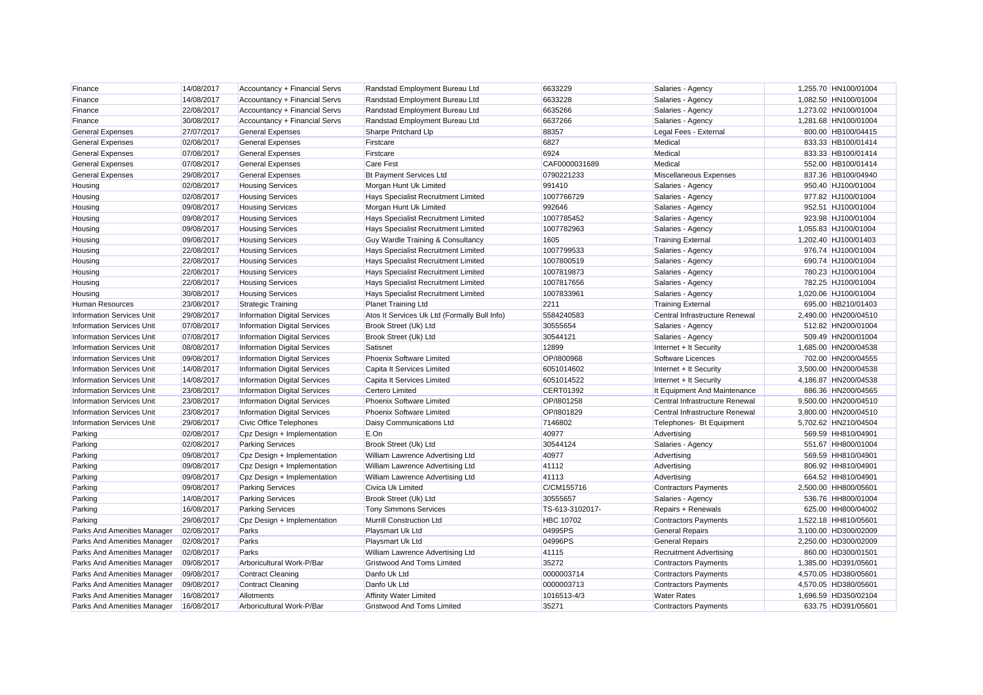| Finance                          | 14/08/2017 | Accountancy + Financial Servs       | Randstad Employment Bureau Ltd               | 6633229          | Salaries - Agency              | 1,255.70 HN100/01004 |
|----------------------------------|------------|-------------------------------------|----------------------------------------------|------------------|--------------------------------|----------------------|
| Finance                          | 14/08/2017 | Accountancy + Financial Servs       | Randstad Employment Bureau Ltd               | 6633228          | Salaries - Agency              | 1,082.50 HN100/01004 |
| Finance                          | 22/08/2017 | Accountancy + Financial Servs       | Randstad Employment Bureau Ltd               | 6635266          | Salaries - Agency              | 1,273.02 HN100/01004 |
| Finance                          | 30/08/2017 | Accountancy + Financial Servs       | Randstad Employment Bureau Ltd               | 6637266          | Salaries - Agency              | 1,281.68 HN100/01004 |
| <b>General Expenses</b>          | 27/07/2017 | <b>General Expenses</b>             | Sharpe Pritchard Llp                         | 88357            | Legal Fees - External          | 800.00 HB100/04415   |
| <b>General Expenses</b>          | 02/08/2017 | <b>General Expenses</b>             | Firstcare                                    | 6827             | Medical                        | 833.33 HB100/01414   |
| <b>General Expenses</b>          | 07/08/2017 | <b>General Expenses</b>             | Firstcare                                    | 6924             | Medical                        | 833.33 HB100/01414   |
| <b>General Expenses</b>          | 07/08/2017 | <b>General Expenses</b>             | <b>Care First</b>                            | CAF0000031689    | Medical                        | 552.00 HB100/01414   |
| <b>General Expenses</b>          | 29/08/2017 | <b>General Expenses</b>             | <b>Bt Payment Services Ltd</b>               | 0790221233       | Miscellaneous Expenses         | 837.36 HB100/04940   |
| Housing                          | 02/08/2017 | <b>Housing Services</b>             | Morgan Hunt Uk Limited                       | 991410           | Salaries - Agency              | 950.40 HJ100/01004   |
| Housing                          | 02/08/2017 | <b>Housing Services</b>             | Hays Specialist Recruitment Limited          | 1007766729       | Salaries - Agency              | 977.82 HJ100/01004   |
| Housing                          | 09/08/2017 | <b>Housing Services</b>             | Morgan Hunt Uk Limited                       | 992646           | Salaries - Agency              | 952.51 HJ100/01004   |
| Housing                          | 09/08/2017 | <b>Housing Services</b>             | Hays Specialist Recruitment Limited          | 1007785452       | Salaries - Agency              | 923.98 HJ100/01004   |
| Housing                          | 09/08/2017 | <b>Housing Services</b>             | Hays Specialist Recruitment Limited          | 1007782963       | Salaries - Agency              | 1.055.83 HJ100/01004 |
| Housing                          | 09/08/2017 | <b>Housing Services</b>             | Guy Wardle Training & Consultancy            | 1605             | <b>Training External</b>       | 1,202.40 HJ100/01403 |
| Housing                          | 22/08/2017 | <b>Housing Services</b>             | Hays Specialist Recruitment Limited          | 1007799533       | Salaries - Agency              | 976.74 HJ100/01004   |
| Housing                          | 22/08/2017 | <b>Housing Services</b>             | Hays Specialist Recruitment Limited          | 1007800519       | Salaries - Agency              | 690.74 HJ100/01004   |
| Housing                          | 22/08/2017 | <b>Housing Services</b>             | Hays Specialist Recruitment Limited          | 1007819873       | Salaries - Agency              | 780.23 HJ100/01004   |
| Housing                          | 22/08/2017 | <b>Housing Services</b>             | Hays Specialist Recruitment Limited          | 1007817656       | Salaries - Agency              | 782.25 HJ100/01004   |
| Housing                          | 30/08/2017 | <b>Housing Services</b>             | Hays Specialist Recruitment Limited          | 1007833961       | Salaries - Agency              | 1,020.06 HJ100/01004 |
| <b>Human Resources</b>           | 23/08/2017 | <b>Strategic Training</b>           | Planet Training Ltd                          | 2211             | <b>Training External</b>       | 695.00 HB210/01403   |
| <b>Information Services Unit</b> | 29/08/2017 | <b>Information Digital Services</b> | Atos It Services Uk Ltd (Formally Bull Info) | 5584240583       | Central Infrastructure Renewal | 2,490.00 HN200/04510 |
| <b>Information Services Unit</b> | 07/08/2017 | <b>Information Digital Services</b> | Brook Street (Uk) Ltd                        | 30555654         | Salaries - Agency              | 512.82 HN200/01004   |
| <b>Information Services Unit</b> | 07/08/2017 | <b>Information Digital Services</b> | Brook Street (Uk) Ltd                        | 30544121         | Salaries - Agency              | 509.49 HN200/01004   |
| <b>Information Services Unit</b> | 08/08/2017 | <b>Information Digital Services</b> | Satisnet                                     | 12899            | Internet + It Security         | 1,685.00 HN200/04538 |
| <b>Information Services Unit</b> | 09/08/2017 | <b>Information Digital Services</b> | Phoenix Software Limited                     | OP/1800968       | Software Licences              | 702.00 HN200/04555   |
| <b>Information Services Unit</b> | 14/08/2017 | <b>Information Digital Services</b> | Capita It Services Limited                   | 6051014602       | Internet + It Security         | 3,500.00 HN200/04538 |
| <b>Information Services Unit</b> | 14/08/2017 | <b>Information Digital Services</b> | Capita It Services Limited                   | 6051014522       | Internet + It Security         | 4,186.87 HN200/04538 |
| <b>Information Services Unit</b> | 23/08/2017 | <b>Information Digital Services</b> | <b>Certero Limited</b>                       | <b>CERT01392</b> | It Equipment And Maintenance   | 886.36 HN200/04565   |
| <b>Information Services Unit</b> | 23/08/2017 | <b>Information Digital Services</b> | Phoenix Software Limited                     | OP/1801258       | Central Infrastructure Renewal | 9,500.00 HN200/04510 |
| <b>Information Services Unit</b> | 23/08/2017 | <b>Information Digital Services</b> | Phoenix Software Limited                     | OP/1801829       | Central Infrastructure Renewal | 3,800.00 HN200/04510 |
| <b>Information Services Unit</b> | 29/08/2017 | Civic Office Telephones             | Daisy Communications Ltd                     | 7146802          | Telephones- Bt Equipment       | 5,702.62 HN210/04504 |
| Parking                          | 02/08/2017 | Cpz Design + Implementation         | E.On                                         | 40977            | Advertising                    | 569.59 HH810/04901   |
| Parking                          | 02/08/2017 | <b>Parking Services</b>             | Brook Street (Uk) Ltd                        | 30544124         | Salaries - Agency              | 551.67 HH800/01004   |
| Parking                          | 09/08/2017 | Cpz Design + Implementation         | William Lawrence Advertising Ltd             | 40977            | Advertising                    | 569.59 HH810/04901   |
| Parking                          | 09/08/2017 | Cpz Design + Implementation         | William Lawrence Advertising Ltd             | 41112            | Advertising                    | 806.92 HH810/04901   |
| Parking                          | 09/08/2017 | Cpz Design + Implementation         | William Lawrence Advertising Ltd             | 41113            | Advertising                    | 664.52 HH810/04901   |
| Parking                          | 09/08/2017 | <b>Parking Services</b>             | Civica Uk Limited                            | C/CM155716       | <b>Contractors Payments</b>    | 2,500.00 HH800/05601 |
| Parking                          | 14/08/2017 | <b>Parking Services</b>             | Brook Street (Uk) Ltd                        | 30555657         | Salaries - Agency              | 536.76 HH800/01004   |
| Parking                          | 16/08/2017 | <b>Parking Services</b>             | <b>Tony Simmons Services</b>                 | TS-613-3102017-  | Repairs + Renewals             | 625.00 HH800/04002   |
| Parking                          | 29/08/2017 | Cpz Design + Implementation         | Murrill Construction Ltd                     | <b>HBC 10702</b> | <b>Contractors Payments</b>    | 1,522.18 HH810/05601 |
| Parks And Amenities Manager      | 02/08/2017 | Parks                               | Playsmart Uk Ltd                             | 04995PS          | <b>General Repairs</b>         | 3,100.00 HD300/02009 |
| Parks And Amenities Manager      | 02/08/2017 | Parks                               | Playsmart Uk Ltd                             | 04996PS          | <b>General Repairs</b>         | 2,250.00 HD300/02009 |
| Parks And Amenities Manager      | 02/08/2017 | Parks                               | William Lawrence Advertising Ltd             | 41115            | <b>Recruitment Advertising</b> | 860.00 HD300/01501   |
| Parks And Amenities Manager      | 09/08/2017 | Arboricultural Work-P/Bar           | <b>Gristwood And Toms Limited</b>            | 35272            | <b>Contractors Payments</b>    | 1,385.00 HD391/05601 |
| Parks And Amenities Manager      | 09/08/2017 | <b>Contract Cleaning</b>            | Danfo Uk Ltd                                 | 0000003714       | <b>Contractors Payments</b>    | 4,570.05 HD380/05601 |
| Parks And Amenities Manager      | 09/08/2017 | <b>Contract Cleaning</b>            | Danfo Uk Ltd                                 | 0000003713       | <b>Contractors Payments</b>    | 4,570.05 HD380/05601 |
| Parks And Amenities Manager      | 16/08/2017 | Allotments                          | <b>Affinity Water Limited</b>                | 1016513-4/3      | <b>Water Rates</b>             | 1.696.59 HD350/02104 |
| Parks And Amenities Manager      | 16/08/2017 | Arboricultural Work-P/Bar           | <b>Gristwood And Toms Limited</b>            | 35271            | <b>Contractors Payments</b>    | 633.75 HD391/05601   |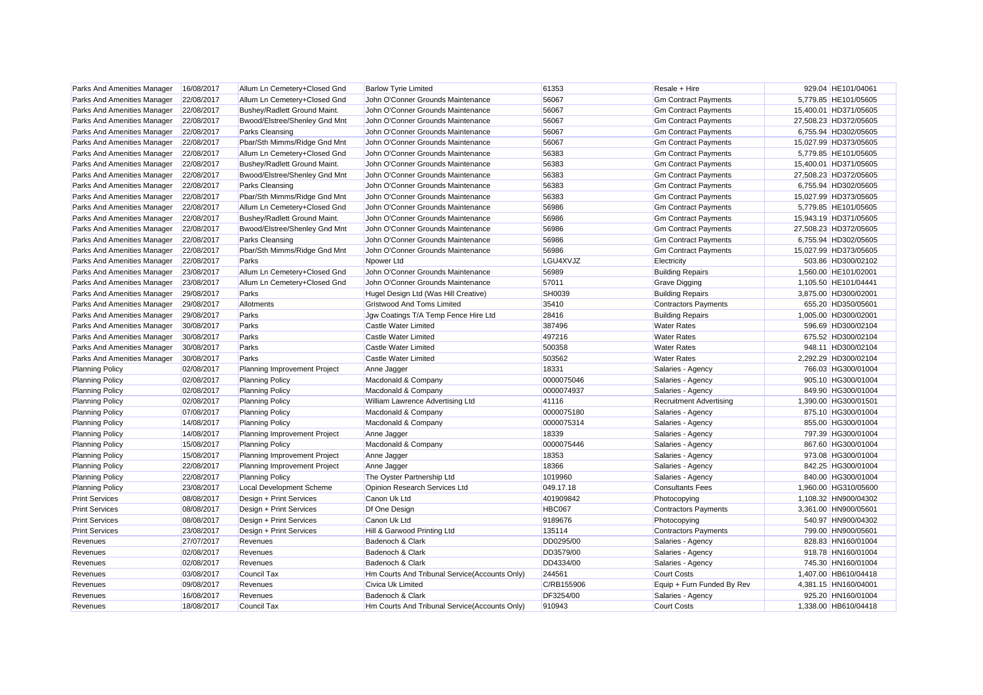| Parks And Amenities Manager | 16/08/2017               | Allum Ln Cemetery+Closed Gnd        | <b>Barlow Tyrie Limited</b>                     | 61353                   | Resale + Hire                                    | 929.04 HE101/04061                         |
|-----------------------------|--------------------------|-------------------------------------|-------------------------------------------------|-------------------------|--------------------------------------------------|--------------------------------------------|
| Parks And Amenities Manager | 22/08/2017               | Allum Ln Cemetery+Closed Gnd        | John O'Conner Grounds Maintenance               | 56067                   | <b>Gm Contract Payments</b>                      | 5,779.85 HE101/05605                       |
| Parks And Amenities Manager | 22/08/2017               | Bushey/Radlett Ground Maint.        | John O'Conner Grounds Maintenance               | 56067                   | <b>Gm Contract Payments</b>                      | 15,400.01 HD371/05605                      |
| Parks And Amenities Manager | 22/08/2017               | Bwood/Elstree/Shenley Gnd Mnt       | John O'Conner Grounds Maintenance               | 56067                   | <b>Gm Contract Payments</b>                      | 27,508.23 HD372/05605                      |
| Parks And Amenities Manager | 22/08/2017               | Parks Cleansing                     | John O'Conner Grounds Maintenance               | 56067                   | <b>Gm Contract Payments</b>                      | 6,755.94 HD302/05605                       |
| Parks And Amenities Manager | 22/08/2017               | Pbar/Sth Mimms/Ridge Gnd Mnt        | John O'Conner Grounds Maintenance               | 56067                   | <b>Gm Contract Payments</b>                      | 15,027.99 HD373/05605                      |
| Parks And Amenities Manager | 22/08/2017               | Allum Ln Cemetery+Closed Gnd        | John O'Conner Grounds Maintenance               | 56383                   | <b>Gm Contract Payments</b>                      | 5,779.85 HE101/05605                       |
| Parks And Amenities Manager | 22/08/2017               | Bushey/Radlett Ground Maint.        | John O'Conner Grounds Maintenance               | 56383                   | <b>Gm Contract Payments</b>                      | 15,400.01 HD371/05605                      |
| Parks And Amenities Manager | 22/08/2017               | Bwood/Elstree/Shenley Gnd Mnt       | John O'Conner Grounds Maintenance               | 56383                   | <b>Gm Contract Payments</b>                      | 27,508.23 HD372/05605                      |
| Parks And Amenities Manager | 22/08/2017               | Parks Cleansing                     | John O'Conner Grounds Maintenance               | 56383                   | <b>Gm Contract Payments</b>                      | 6,755.94 HD302/05605                       |
| Parks And Amenities Manager | 22/08/2017               | Pbar/Sth Mimms/Ridge Gnd Mnt        | John O'Conner Grounds Maintenance               | 56383                   | <b>Gm Contract Payments</b>                      | 15,027.99 HD373/05605                      |
| Parks And Amenities Manager | 22/08/2017               | Allum Ln Cemetery+Closed Gnd        | John O'Conner Grounds Maintenance               | 56986                   | <b>Gm Contract Payments</b>                      | 5,779.85 HE101/05605                       |
| Parks And Amenities Manager | 22/08/2017               | Bushey/Radlett Ground Maint.        | John O'Conner Grounds Maintenance               | 56986                   | <b>Gm Contract Payments</b>                      | 15,943.19 HD371/05605                      |
| Parks And Amenities Manager | 22/08/2017               | Bwood/Elstree/Shenley Gnd Mnt       | John O'Conner Grounds Maintenance               | 56986                   | <b>Gm Contract Payments</b>                      | 27,508.23 HD372/05605                      |
| Parks And Amenities Manager | 22/08/2017               | Parks Cleansing                     | John O'Conner Grounds Maintenance               | 56986                   | <b>Gm Contract Payments</b>                      | 6,755.94 HD302/05605                       |
| Parks And Amenities Manager | 22/08/2017               | Pbar/Sth Mimms/Ridge Gnd Mnt        | John O'Conner Grounds Maintenance               | 56986                   | <b>Gm Contract Payments</b>                      | 15.027.99 HD373/05605                      |
| Parks And Amenities Manager | 22/08/2017               | Parks                               | Npower Ltd                                      | LGU4XVJZ                | Electricity                                      | 503.86 HD300/02102                         |
| Parks And Amenities Manager | 23/08/2017               | Allum Ln Cemetery+Closed Gnd        | John O'Conner Grounds Maintenance               | 56989                   | <b>Building Repairs</b>                          | 1,560.00 HE101/02001                       |
| Parks And Amenities Manager | 23/08/2017               | Allum Ln Cemetery+Closed Gnd        | John O'Conner Grounds Maintenance               | 57011                   | <b>Grave Digging</b>                             | 1,105.50 HE101/04441                       |
| Parks And Amenities Manager | 29/08/2017               | Parks                               | Hugel Design Ltd (Was Hill Creative)            | SH0039                  | <b>Building Repairs</b>                          | 3,875.00 HD300/02001                       |
| Parks And Amenities Manager | 29/08/2017               | Allotments                          | <b>Gristwood And Toms Limited</b>               | 35410                   | <b>Contractors Payments</b>                      | 655.20 HD350/05601                         |
| Parks And Amenities Manager | 29/08/2017               | Parks                               | Jgw Coatings T/A Temp Fence Hire Ltd            | 28416                   | <b>Building Repairs</b>                          | 1,005.00 HD300/02001                       |
| Parks And Amenities Manager | 30/08/2017               | Parks                               | Castle Water Limited                            | 387496                  | <b>Water Rates</b>                               | 596.69 HD300/02104                         |
| Parks And Amenities Manager | 30/08/2017               | Parks                               | Castle Water Limited                            | 497216                  | <b>Water Rates</b>                               | 675.52 HD300/02104                         |
| Parks And Amenities Manager | 30/08/2017               | Parks                               | Castle Water Limited                            | 500358                  | <b>Water Rates</b>                               | 948.11 HD300/02104                         |
| Parks And Amenities Manager | 30/08/2017               | Parks                               | Castle Water Limited                            | 503562                  | <b>Water Rates</b>                               | 2,292.29 HD300/02104                       |
| <b>Planning Policy</b>      | 02/08/2017               | Planning Improvement Project        | Anne Jagger                                     | 18331                   | Salaries - Agency                                | 766.03 HG300/01004                         |
| <b>Planning Policy</b>      | 02/08/2017               | <b>Planning Policy</b>              | Macdonald & Company                             | 0000075046              | Salaries - Agency                                | 905.10 HG300/01004                         |
| <b>Planning Policy</b>      | 02/08/2017               | <b>Planning Policy</b>              | Macdonald & Company                             | 0000074937              | Salaries - Agency                                | 849.90 HG300/01004                         |
| <b>Planning Policy</b>      | 02/08/2017               | <b>Planning Policy</b>              | William Lawrence Advertising Ltd                | 41116                   | <b>Recruitment Advertising</b>                   | 1,390.00 HG300/01501                       |
| <b>Planning Policy</b>      | 07/08/2017               | <b>Planning Policy</b>              | Macdonald & Company                             | 0000075180              | Salaries - Agency                                | 875.10 HG300/01004                         |
| <b>Planning Policy</b>      | 14/08/2017               | <b>Planning Policy</b>              | Macdonald & Company                             | 0000075314              | Salaries - Agency                                | 855.00 HG300/01004                         |
| <b>Planning Policy</b>      | 14/08/2017               | Planning Improvement Project        | Anne Jagger                                     | 18339                   | Salaries - Agency                                | 797.39 HG300/01004                         |
| <b>Planning Policy</b>      | 15/08/2017               | <b>Planning Policy</b>              | Macdonald & Company                             | 0000075446              | Salaries - Agency                                | 867.60 HG300/01004                         |
| <b>Planning Policy</b>      | 15/08/2017               | Planning Improvement Project        | Anne Jagger                                     | 18353                   | Salaries - Agency                                | 973.08 HG300/01004                         |
| <b>Planning Policy</b>      | 22/08/2017               | Planning Improvement Project        | Anne Jagger                                     | 18366                   | Salaries - Agency                                | 842.25 HG300/01004                         |
| <b>Planning Policy</b>      | 22/08/2017               | <b>Planning Policy</b>              | The Oyster Partnership Ltd                      | 1019960                 | Salaries - Agency                                | 840.00 HG300/01004                         |
| <b>Planning Policy</b>      | 23/08/2017               | Local Development Scheme            | Opinion Research Services Ltd                   | 049.17.18               | <b>Consultants Fees</b>                          | 1,960.00 HG310/05600                       |
| <b>Print Services</b>       | 08/08/2017               | Design + Print Services             | Canon Uk Ltd                                    | 401909842               | Photocopying                                     | 1,108.32 HN900/04302                       |
| <b>Print Services</b>       | 08/08/2017               | Design + Print Services             | Df One Design                                   | HBC067                  | <b>Contractors Payments</b>                      | 3,361.00 HN900/05601                       |
| <b>Print Services</b>       | 08/08/2017               | Design + Print Services             | Canon Uk Ltd                                    | 9189676                 | Photocopying                                     | 540.97 HN900/04302                         |
| <b>Print Services</b>       | 23/08/2017               |                                     |                                                 | 135114                  |                                                  | 799.00 HN900/05601                         |
| Revenues                    | 27/07/2017               | Design + Print Services<br>Revenues | Hill & Garwood Printing Ltd<br>Badenoch & Clark | DD0295/00               | <b>Contractors Payments</b><br>Salaries - Agency | 828.83 HN160/01004                         |
| Revenues                    | 02/08/2017               | Revenues                            | Badenoch & Clark                                | DD3579/00               | Salaries - Agency                                | 918.78 HN160/01004                         |
| Revenues                    | 02/08/2017               | Revenues                            | Badenoch & Clark                                | DD4334/00               | Salaries - Agency                                | 745.30 HN160/01004                         |
| Revenues                    |                          | <b>Council Tax</b>                  |                                                 | 244561                  | <b>Court Costs</b>                               | 1,407.00 HB610/04418                       |
|                             | 03/08/2017               | Revenues                            | Hm Courts And Tribunal Service(Accounts Only)   |                         |                                                  |                                            |
| Revenues                    | 09/08/2017               |                                     | <b>Civica Uk Limited</b>                        | C/RB155906<br>DF3254/00 | Equip + Furn Funded By Rev                       | 4,381.15 HN160/04001                       |
| Revenues<br>Revenues        | 16/08/2017<br>18/08/2017 | Revenues<br>Council Tax             | Badenoch & Clark                                | 910943                  | Salaries - Agency                                | 925.20 HN160/01004<br>1.338.00 HB610/04418 |
|                             |                          |                                     | Hm Courts And Tribunal Service (Accounts Only)  |                         | <b>Court Costs</b>                               |                                            |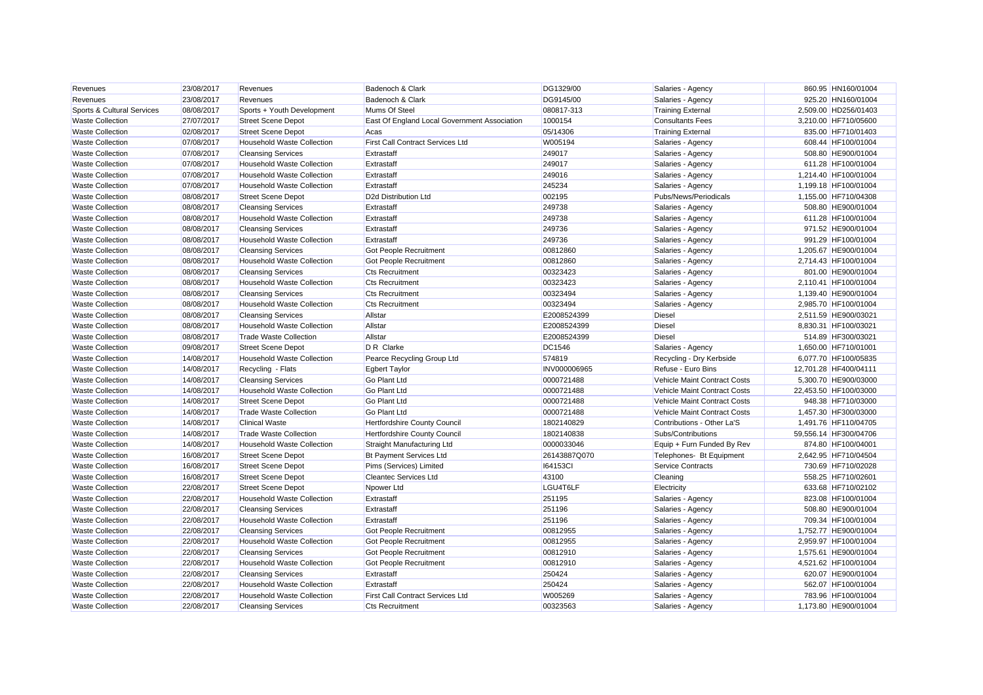| Revenues                   | 23/08/2017 | Revenues                          | Badenoch & Clark                             | DG1329/00       | Salaries - Agency            | 860.95 HN160/01004    |  |
|----------------------------|------------|-----------------------------------|----------------------------------------------|-----------------|------------------------------|-----------------------|--|
| Revenues                   | 23/08/2017 | Revenues                          | Badenoch & Clark                             | DG9145/00       | Salaries - Agency            | 925.20 HN160/01004    |  |
| Sports & Cultural Services | 08/08/2017 | Sports + Youth Development        | Mums Of Steel                                | 080817-313      | <b>Training External</b>     | 2,509.00 HD256/01403  |  |
| <b>Waste Collection</b>    | 27/07/2017 | <b>Street Scene Depot</b>         | East Of England Local Government Association | 1000154         | <b>Consultants Fees</b>      | 3,210.00 HF710/05600  |  |
| <b>Waste Collection</b>    | 02/08/2017 | <b>Street Scene Depot</b>         | Acas                                         | 05/14306        | <b>Training External</b>     | 835.00 HF710/01403    |  |
| <b>Waste Collection</b>    | 07/08/2017 | <b>Household Waste Collection</b> | <b>First Call Contract Services Ltd</b>      | W005194         | Salaries - Agency            | 608.44 HF100/01004    |  |
| <b>Waste Collection</b>    | 07/08/2017 | <b>Cleansing Services</b>         | Extrastaff                                   | 249017          | Salaries - Agency            | 508.80 HE900/01004    |  |
| <b>Waste Collection</b>    | 07/08/2017 | <b>Household Waste Collection</b> | Extrastaff                                   | 249017          | Salaries - Agency            | 611.28 HF100/01004    |  |
| <b>Waste Collection</b>    | 07/08/2017 | <b>Household Waste Collection</b> | Extrastaff                                   | 249016          | Salaries - Agency            | 1,214.40 HF100/01004  |  |
| <b>Waste Collection</b>    | 07/08/2017 | <b>Household Waste Collection</b> | Extrastaff                                   | 245234          | Salaries - Agency            | 1,199.18 HF100/01004  |  |
| <b>Waste Collection</b>    | 08/08/2017 | <b>Street Scene Depot</b>         | D <sub>2d</sub> Distribution Ltd             | 002195          | Pubs/News/Periodicals        | 1,155.00 HF710/04308  |  |
| <b>Waste Collection</b>    | 08/08/2017 | <b>Cleansing Services</b>         | Extrastaff                                   | 249738          | Salaries - Agency            | 508.80 HE900/01004    |  |
| <b>Waste Collection</b>    | 08/08/2017 | <b>Household Waste Collection</b> | Extrastaff                                   | 249738          | Salaries - Agency            | 611.28 HF100/01004    |  |
| <b>Waste Collection</b>    | 08/08/2017 | <b>Cleansing Services</b>         | Extrastaff                                   | 249736          | Salaries - Agency            | 971.52 HE900/01004    |  |
| <b>Waste Collection</b>    | 08/08/2017 | <b>Household Waste Collection</b> | Extrastaff                                   | 249736          | Salaries - Agency            | 991.29 HF100/01004    |  |
| <b>Waste Collection</b>    | 08/08/2017 | <b>Cleansing Services</b>         | Got People Recruitment                       | 00812860        | Salaries - Agency            | 1,205.67 HE900/01004  |  |
| <b>Waste Collection</b>    | 08/08/2017 | <b>Household Waste Collection</b> | Got People Recruitment                       | 00812860        | Salaries - Agency            | 2,714.43 HF100/01004  |  |
| <b>Waste Collection</b>    | 08/08/2017 | <b>Cleansing Services</b>         | <b>Cts Recruitment</b>                       | 00323423        | Salaries - Agency            | 801.00 HE900/01004    |  |
| <b>Waste Collection</b>    | 08/08/2017 | <b>Household Waste Collection</b> | <b>Cts Recruitment</b>                       | 00323423        | Salaries - Agency            | 2,110.41 HF100/01004  |  |
| <b>Waste Collection</b>    | 08/08/2017 | <b>Cleansing Services</b>         | <b>Cts Recruitment</b>                       | 00323494        | Salaries - Agency            | 1,139.40 HE900/01004  |  |
| <b>Waste Collection</b>    | 08/08/2017 | <b>Household Waste Collection</b> | <b>Cts Recruitment</b>                       | 00323494        | Salaries - Agency            | 2,985.70 HF100/01004  |  |
| <b>Waste Collection</b>    | 08/08/2017 | <b>Cleansing Services</b>         | Allstar                                      | E2008524399     | <b>Diesel</b>                | 2,511.59 HE900/03021  |  |
| <b>Waste Collection</b>    | 08/08/2017 | <b>Household Waste Collection</b> | Allstar                                      | E2008524399     | Diesel                       | 8,830.31 HF100/03021  |  |
| <b>Waste Collection</b>    | 08/08/2017 | <b>Trade Waste Collection</b>     | Allstar                                      | E2008524399     | Diesel                       | 514.89 HF300/03021    |  |
| <b>Waste Collection</b>    | 09/08/2017 | <b>Street Scene Depot</b>         | D R Clarke                                   | <b>DC1546</b>   | Salaries - Agency            | 1,650.00 HF710/01001  |  |
| <b>Waste Collection</b>    | 14/08/2017 | <b>Household Waste Collection</b> | Pearce Recycling Group Ltd                   | 574819          | Recycling - Dry Kerbside     | 6,077.70 HF100/05835  |  |
| <b>Waste Collection</b>    | 14/08/2017 | Recycling - Flats                 | <b>Egbert Taylor</b>                         | INV000006965    | Refuse - Euro Bins           | 12,701.28 HF400/04111 |  |
| <b>Waste Collection</b>    | 14/08/2017 | <b>Cleansing Services</b>         | <b>Go Plant Ltd</b>                          | 0000721488      | Vehicle Maint Contract Costs | 5,300.70 HE900/03000  |  |
| <b>Waste Collection</b>    | 14/08/2017 | <b>Household Waste Collection</b> | Go Plant Ltd                                 | 0000721488      | Vehicle Maint Contract Costs | 22,453.50 HF100/03000 |  |
| <b>Waste Collection</b>    | 14/08/2017 | <b>Street Scene Depot</b>         | Go Plant Ltd                                 | 0000721488      | Vehicle Maint Contract Costs | 948.38 HF710/03000    |  |
| <b>Waste Collection</b>    | 14/08/2017 | <b>Trade Waste Collection</b>     | <b>Go Plant Ltd</b>                          | 0000721488      | Vehicle Maint Contract Costs | 1,457.30 HF300/03000  |  |
| <b>Waste Collection</b>    | 14/08/2017 | <b>Clinical Waste</b>             | Hertfordshire County Council                 | 1802140829      | Contributions - Other La'S   | 1,491.76 HF110/04705  |  |
| <b>Waste Collection</b>    | 14/08/2017 | <b>Trade Waste Collection</b>     | <b>Hertfordshire County Council</b>          | 1802140838      | Subs/Contributions           | 59,556.14 HF300/04706 |  |
| <b>Waste Collection</b>    | 14/08/2017 | <b>Household Waste Collection</b> | Straight Manufacturing Ltd                   | 0000033046      | Equip + Furn Funded By Rev   | 874.80 HF100/04001    |  |
| <b>Waste Collection</b>    | 16/08/2017 | <b>Street Scene Depot</b>         | <b>Bt Payment Services Ltd</b>               | 26143887Q070    | Telephones- Bt Equipment     | 2,642.95 HF710/04504  |  |
| <b>Waste Collection</b>    | 16/08/2017 | <b>Street Scene Depot</b>         | Pims (Services) Limited                      | <b>164153CI</b> | <b>Service Contracts</b>     | 730.69 HF710/02028    |  |
| <b>Waste Collection</b>    | 16/08/2017 | <b>Street Scene Depot</b>         | <b>Cleantec Services Ltd</b>                 | 43100           | Cleaning                     | 558.25 HF710/02601    |  |
| <b>Waste Collection</b>    | 22/08/2017 | <b>Street Scene Depot</b>         | Npower Ltd                                   | LGU4T6LF        | Electricity                  | 633.68 HF710/02102    |  |
| <b>Waste Collection</b>    | 22/08/2017 | <b>Household Waste Collection</b> | Extrastaff                                   | 251195          | Salaries - Agency            | 823.08 HF100/01004    |  |
| <b>Waste Collection</b>    | 22/08/2017 | <b>Cleansing Services</b>         | Extrastaff                                   | 251196          | Salaries - Agency            | 508.80 HE900/01004    |  |
| <b>Waste Collection</b>    | 22/08/2017 | <b>Household Waste Collection</b> | Extrastaff                                   | 251196          | Salaries - Agency            | 709.34 HF100/01004    |  |
| <b>Waste Collection</b>    | 22/08/2017 | <b>Cleansing Services</b>         | <b>Got People Recruitment</b>                | 00812955        | Salaries - Agency            | 1,752.77 HE900/01004  |  |
| <b>Waste Collection</b>    | 22/08/2017 | <b>Household Waste Collection</b> | Got People Recruitment                       | 00812955        | Salaries - Agency            | 2,959.97 HF100/01004  |  |
| <b>Waste Collection</b>    | 22/08/2017 | <b>Cleansing Services</b>         | Got People Recruitment                       | 00812910        | Salaries - Agency            | 1,575.61 HE900/01004  |  |
| <b>Waste Collection</b>    | 22/08/2017 | <b>Household Waste Collection</b> | Got People Recruitment                       | 00812910        | Salaries - Agency            | 4,521.62 HF100/01004  |  |
| <b>Waste Collection</b>    | 22/08/2017 | <b>Cleansing Services</b>         | Extrastaff                                   | 250424          | Salaries - Agency            | 620.07 HE900/01004    |  |
| <b>Waste Collection</b>    | 22/08/2017 | <b>Household Waste Collection</b> | Extrastaff                                   | 250424          | Salaries - Agency            | 562.07 HF100/01004    |  |
| <b>Waste Collection</b>    | 22/08/2017 | <b>Household Waste Collection</b> | <b>First Call Contract Services Ltd</b>      | W005269         | Salaries - Agency            | 783.96 HF100/01004    |  |
| <b>Waste Collection</b>    | 22/08/2017 | <b>Cleansing Services</b>         | <b>Cts Recruitment</b>                       | 00323563        | Salaries - Agency            | 1.173.80 HE900/01004  |  |
|                            |            |                                   |                                              |                 |                              |                       |  |